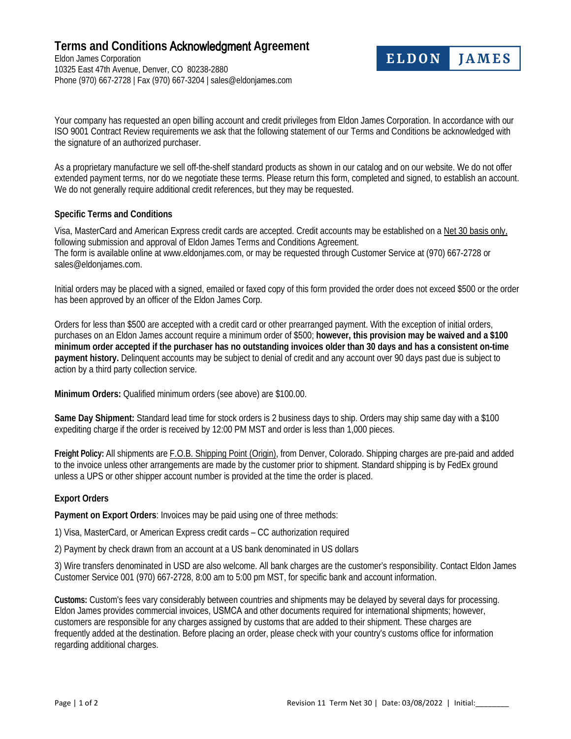## **Terms and Conditions** Acknowledgment **Agreement**

Eldon James Corporation 10325 East 47th Avenue, Denver, CO 80238-2880 Phone (970) 667-2728 | Fax (970) 667-3204 | sales@eldonjames.com

Your company has requested an open billing account and credit privileges from Eldon James Corporation. In accordance with our ISO 9001 Contract Review requirements we ask that the following statement of our Terms and Conditions be acknowledged with the signature of an authorized purchaser.

**ELDON** 

**JAMES** 

As a proprietary manufacture we sell off-the-shelf standard products as shown in our catalog and on our website. We do not offer extended payment terms, nor do we negotiate these terms. Please return this form, completed and signed, to establish an account. We do not generally require additional credit references, but they may be requested.

## **Specific Terms and Conditions**

Visa, MasterCard and American Express credit cards are accepted. Credit accounts may be established on a Net 30 basis only, following submission and approval of Eldon James Terms and Conditions Agreement. The form is available online at www.eldonjames.com, or may be requested through Customer Service at (970) 667-2728 or sales@eldonjames.com.

Initial orders may be placed with a signed, emailed or faxed copy of this form provided the order does not exceed \$500 or the order has been approved by an officer of the Eldon James Corp.

Orders for less than \$500 are accepted with a credit card or other prearranged payment. With the exception of initial orders, purchases on an Eldon James account require a minimum order of \$500; **however, this provision may be waived and a \$100 minimum order accepted if the purchaser has no outstanding invoices older than 30 days and has a consistent on-time payment history.** Delinquent accounts may be subject to denial of credit and any account over 90 days past due is subject to action by a third party collection service.

**Minimum Orders:** Qualified minimum orders (see above) are \$100.00.

**Same Day Shipment:** Standard lead time for stock orders is 2 business days to ship. Orders may ship same day with a \$100 expediting charge if the order is received by 12:00 PM MST and order is less than 1,000 pieces.

**Freight Policy:** All shipments are F.O.B. Shipping Point (Origin), from Denver, Colorado. Shipping charges are pre-paid and added to the invoice unless other arrangements are made by the customer prior to shipment. Standard shipping is by FedEx ground unless a UPS or other shipper account number is provided at the time the order is placed.

## **Export Orders**

**Payment on Export Orders**: Invoices may be paid using one of three methods:

1) Visa, MasterCard, or American Express credit cards – CC authorization required

2) Payment by check drawn from an account at a US bank denominated in US dollars

3) Wire transfers denominated in USD are also welcome. All bank charges are the customer's responsibility. Contact Eldon James Customer Service 001 (970) 667-2728, 8:00 am to 5:00 pm MST, for specific bank and account information.

**Customs:** Custom's fees vary considerably between countries and shipments may be delayed by several days for processing. Eldon James provides commercial invoices, USMCA and other documents required for international shipments; however, customers are responsible for any charges assigned by customs that are added to their shipment. These charges are frequently added at the destination. Before placing an order, please check with your country's customs office for information regarding additional charges.